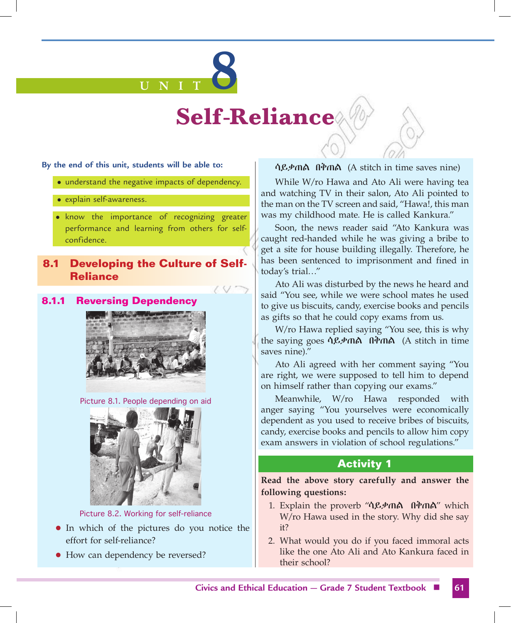# **U N I T 8**

# **Self-Reliance**

**By the end of this unit, students will be able to:**

- understand the negative impacts of dependency.
- explain self-awareness.
- know the importance of recognizing greater performance and learning from others for selfconfidence.

# **8.1 Developing the Culture of Self-Reliance**

# **8.1.1 Reversing Dependency**



Picture 8.1. People depending on aid



Picture 8.2. Working for self-reliance

- In which of the pictures do you notice the effort for self-reliance?
- How can dependency be reversed?

### ሳይቃጠል በቅጠል (A stitch in time saves nine)

While W/ro Hawa and Ato Ali were having tea and watching TV in their salon, Ato Ali pointed to the man on the TV screen and said, "Hawa!, this man was my childhood mate. He is called Kankura."

Soon, the news reader said "Ato Kankura was caught red-handed while he was giving a bribe to get a site for house building illegally. Therefore, he has been sentenced to imprisonment and fined in today's trial…"

Ato Ali was disturbed by the news he heard and said "You see, while we were school mates he used to give us biscuits, candy, exercise books and pencils as gifts so that he could copy exams from us.

W/ro Hawa replied saying "You see, this is why the saying goes ሳይቃጠል በቅጠል (A stitch in time saves nine)."

Ato Ali agreed with her comment saying "You are right, we were supposed to tell him to depend on himself rather than copying our exams."

Meanwhile, W/ro Hawa responded with anger saying "You yourselves were economically dependent as you used to receive bribes of biscuits, candy, exercise books and pencils to allow him copy exam answers in violation of school regulations."

# **Activity 1**

**Read the above story carefully and answer the following questions:**

- 1. Explain the proverb "ሳይቃጠል በቅጠል" which W/ro Hawa used in the story. Why did she say it?
- 2. What would you do if you faced immoral acts like the one Ato Ali and Ato Kankura faced in their school?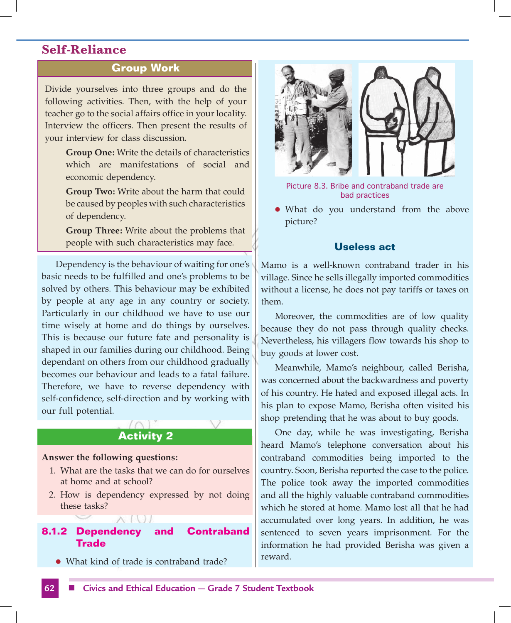# **Group Work**

Divide yourselves into three groups and do the following activities. Then, with the help of your teacher go to the social affairs office in your locality. Interview the officers. Then present the results of your interview for class discussion.

> **Group One:** Write the details of characteristics which are manifestations of social and economic dependency.

 **Group Two:** Write about the harm that could be caused by peoples with such characteristics of dependency.

 **Group Three:** Write about the problems that people with such characteristics may face.

Dependency is the behaviour of waiting for one's basic needs to be fulfilled and one's problems to be solved by others. This behaviour may be exhibited by people at any age in any country or society. Particularly in our childhood we have to use our time wisely at home and do things by ourselves. This is because our future fate and personality is shaped in our families during our childhood. Being dependant on others from our childhood gradually becomes our behaviour and leads to a fatal failure. Therefore, we have to reverse dependency with self-confidence, self-direction and by working with our full potential.

# **Activity 2**

### **Answer the following questions:**

- 1. What are the tasks that we can do for ourselves at home and at school?
- 2. How is dependency expressed by not doing these tasks?

# **8.1.2 Dependency and Contraband Trade**

• What kind of trade is contraband trade?



Picture 8.3. Bribe and contraband trade are bad practices

What do you understand from the above picture?

### **Useless act**

Mamo is a well-known contraband trader in his village. Since he sells illegally imported commodities without a license, he does not pay tariffs or taxes on them.

Moreover, the commodities are of low quality because they do not pass through quality checks. Nevertheless, his villagers flow towards his shop to buy goods at lower cost.

Meanwhile, Mamo's neighbour, called Berisha, was concerned about the backwardness and poverty of his country. He hated and exposed illegal acts. In his plan to expose Mamo, Berisha often visited his shop pretending that he was about to buy goods.

One day, while he was investigating, Berisha heard Mamo's telephone conversation about his contraband commodities being imported to the country. Soon, Berisha reported the case to the police. The police took away the imported commodities and all the highly valuable contraband commodities which he stored at home. Mamo lost all that he had accumulated over long years. In addition, he was sentenced to seven years imprisonment. For the information he had provided Berisha was given a reward.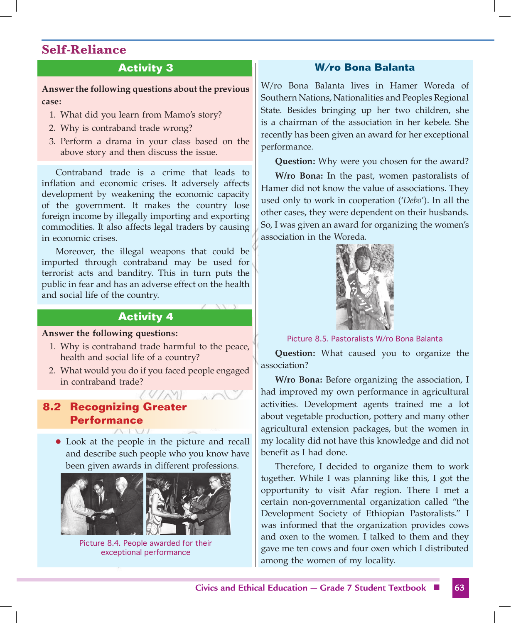# **Activity 3**

**Answer the following questions about the previous case:** 

- 1. What did you learn from Mamo's story?
- 2. Why is contraband trade wrong?
- 3. Perform a drama in your class based on the above story and then discuss the issue.

Contraband trade is a crime that leads to inflation and economic crises. It adversely affects development by weakening the economic capacity of the government. It makes the country lose foreign income by illegally importing and exporting commodities. It also affects legal traders by causing in economic crises.

Moreover, the illegal weapons that could be imported through contraband may be used for terrorist acts and banditry. This in turn puts the public in fear and has an adverse effect on the health and social life of the country.

# **Activity 4**

### **Answer the following questions:**

- 1. Why is contraband trade harmful to the peace, health and social life of a country?
- 2. What would you do if you faced people engaged in contraband trade?

# **8.2 Recognizing Greater Performance**

• Look at the people in the picture and recall and describe such people who you know have been given awards in different professions.



Picture 8.4. People awarded for their exceptional performance

# **W/ro Bona Balanta**

W/ro Bona Balanta lives in Hamer Woreda of Southern Nations, Nationalities and Peoples Regional State. Besides bringing up her two children, she is a chairman of the association in her kebele. She recently has been given an award for her exceptional performance.

**Question:** Why were you chosen for the award?

**W/ro Bona:** In the past, women pastoralists of Hamer did not know the value of associations. They used only to work in cooperation ('*Debo*'). In all the other cases, they were dependent on their husbands. So, I was given an award for organizing the women's association in the Woreda.



Picture 8.5. Pastoralists W/ro Bona Balanta

**Question:** What caused you to organize the association?

**W/ro Bona:** Before organizing the association, I had improved my own performance in agricultural activities. Development agents trained me a lot about vegetable production, pottery and many other agricultural extension packages, but the women in my locality did not have this knowledge and did not benefit as I had done.

Therefore, I decided to organize them to work together. While I was planning like this, I got the opportunity to visit Afar region. There I met a certain non-governmental organization called "the Development Society of Ethiopian Pastoralists." I was informed that the organization provides cows and oxen to the women. I talked to them and they gave me ten cows and four oxen which I distributed among the women of my locality.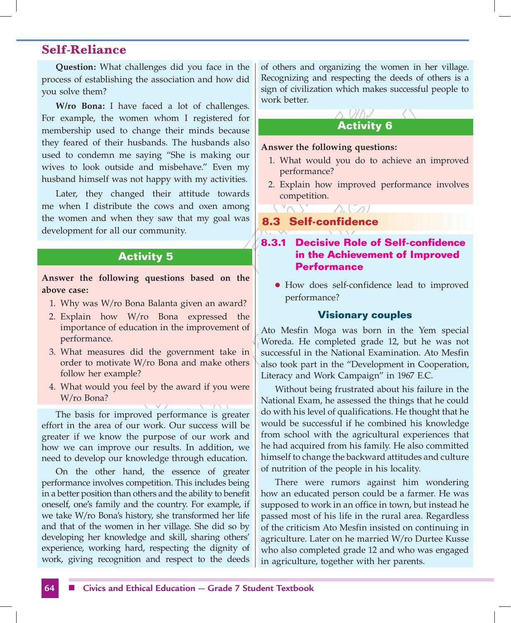**Question:** What challenges did you face in the process of establishing the association and how did you solve them?

**W/ro Bona:** I have faced a lot of challenges. For example, the women whom I registered for membership used to change their minds because they feared of their husbands. The husbands also used to condemn me saying "She is making our wives to look outside and misbehave." Even my husband himself was not happy with my activities.

Later, they changed their attitude towards me when I distribute the cows and oxen among the women and when they saw that my goal was development for all our community.

# **Activity 5**

**Answer the following questions based on the above case:**

- 1. Why was W/ro Bona Balanta given an award?
- 2. Explain how W/ro Bona expressed the importance of education in the improvement of performance.
- 3. What measures did the government take in order to motivate W/ro Bona and make others follow her example?
- 4. What would you feel by the award if you were W/ro Bona?

The basis for improved performance is greater effort in the area of our work. Our success will be greater if we know the purpose of our work and how we can improve our results. In addition, we need to develop our knowledge through education.

On the other hand, the essence of greater performance involves competition. This includes being in a better position than others and the ability to benefit oneself, one's family and the country. For example, if we take W/ro Bona's history, she transformed her life and that of the women in her village. She did so by developing her knowledge and skill, sharing others' experience, working hard, respecting the dignity of work, giving recognition and respect to the deeds of others and organizing the women in her village. Recognizing and respecting the deeds of others is a sign of civilization which makes successful people to work better.

# $\wedge$   $\vee \wedge \vee$ **Activity 6**

**Answer the following questions:**

- 1. What would you do to achieve an improved performance?
- 2. Explain how improved performance involves competition.

 $\triangle$   $\triangle$ 

# **8.3 Self-confidence**

# **8.3.1 Decisive Role of Self-confidence in the Achievement of Improved Performance**

• How does self-confidence lead to improved performance?

### **Visionary couples**

Ato Mesfin Moga was born in the Yem special Woreda. He completed grade 12, but he was not successful in the National Examination. Ato Mesfin also took part in the "Development in Cooperation, Literacy and Work Campaign" in 1967 E.C.

Without being frustrated about his failure in the National Exam, he assessed the things that he could do with his level of qualifications. He thought that he would be successful if he combined his knowledge from school with the agricultural experiences that he had acquired from his family. He also committed himself to change the backward attitudes and culture of nutrition of the people in his locality.

There were rumors against him wondering how an educated person could be a farmer. He was supposed to work in an office in town, but instead he passed most of his life in the rural area. Regardless of the criticism Ato Mesfin insisted on continuing in agriculture. Later on he married W/ro Durtee Kusse who also completed grade 12 and who was engaged in agriculture, together with her parents.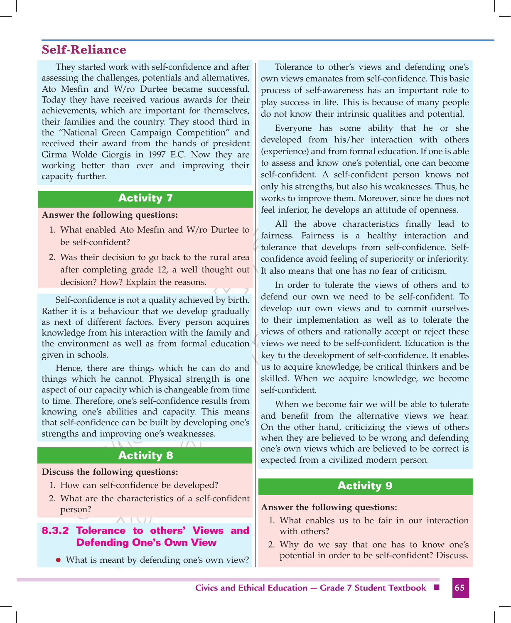They started work with self-confidence and after assessing the challenges, potentials and alternatives, Ato Mesfin and W/ro Durtee became successful. Today they have received various awards for their achievements, which are important for themselves, their families and the country. They stood third in the "National Green Campaign Competition" and received their award from the hands of president Girma Wolde Giorgis in 1997 E.C. Now they are working better than ever and improving their capacity further.

# **Activity 7**

### **Answer the following questions:**

- 1. What enabled Ato Mesfin and W/ro Durtee to be self-confident?
- 2. Was their decision to go back to the rural area after completing grade 12, a well thought out decision? How? Explain the reasons.

Self-confidence is not a quality achieved by birth. Rather it is a behaviour that we develop gradually as next of different factors. Every person acquires knowledge from his interaction with the family and the environment as well as from formal education given in schools.

Hence, there are things which he can do and things which he cannot. Physical strength is one aspect of our capacity which is changeable from time to time. Therefore, one's self-confidence results from knowing one's abilities and capacity. This means that self-confidence can be built by developing one's strengths and improving one's weaknesses.

# **Activity 8**

### **Discuss the following questions:**

- 1. How can self-confidence be developed?
- 2. What are the characteristics of a self-confident person?

# **8.3.2 Tolerance to others' Views and Defending One's Own View**

• What is meant by defending one's own view?

Tolerance to other's views and defending one's own views emanates from self-confidence. This basic process of self-awareness has an important role to play success in life. This is because of many people do not know their intrinsic qualities and potential.

Everyone has some ability that he or she developed from his/her interaction with others (experience) and from formal education. If one is able to assess and know one's potential, one can become self-confident. A self-confident person knows not only his strengths, but also his weaknesses. Thus, he works to improve them. Moreover, since he does not feel inferior, he develops an attitude of openness.

All the above characteristics finally lead to fairness. Fairness is a healthy interaction and tolerance that develops from self-confidence. Selfconfidence avoid feeling of superiority or inferiority. It also means that one has no fear of criticism.

In order to tolerate the views of others and to defend our own we need to be self-confident. To develop our own views and to commit ourselves to their implementation as well as to tolerate the views of others and rationally accept or reject these views we need to be self-confident. Education is the key to the development of self-confidence. It enables us to acquire knowledge, be critical thinkers and be skilled. When we acquire knowledge, we become self-confident.

When we become fair we will be able to tolerate and benefit from the alternative views we hear. On the other hand, criticizing the views of others when they are believed to be wrong and defending one's own views which are believed to be correct is expected from a civilized modern person.

# **Activity 9**

### **Answer the following questions:**

- 1. What enables us to be fair in our interaction with others?
- 2. Why do we say that one has to know one's potential in order to be self-confident? Discuss.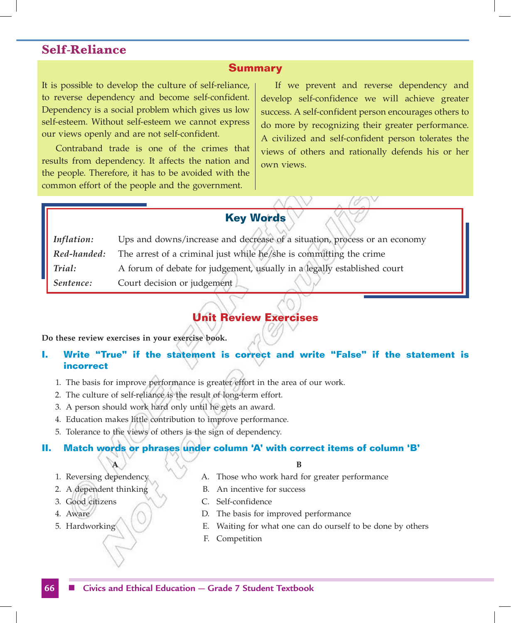### **Summary**

It is possible to develop the culture of self-reliance, to reverse dependency and become self-confident. Dependency is a social problem which gives us low self-esteem. Without self-esteem we cannot express our views openly and are not self-confident.

Contraband trade is one of the crimes that results from dependency. It affects the nation and the people. Therefore, it has to be avoided with the common effort of the people and the government.

If we prevent and reverse dependency and develop self-confidence we will achieve greater success. A self-confident person encourages others to do more by recognizing their greater performance. A civilized and self-confident person tolerates the views of others and rationally defends his or her own views.

# **Key Words**

| Inflation:  | Ups and downs/increase and decrease of a situation, process or an economy |
|-------------|---------------------------------------------------------------------------|
| Red-handed: | The arrest of a criminal just while he/she is committing the crime        |
| Trial:      | A forum of debate for judgement, usually in a legally established court   |
| Sentence:   | Court decision or judgement                                               |

# **Unit Review Exercises**

### **Do these review exercises in your exercise book.**

# **I. Write "True" if the statement is correct and write "False" if the statement is incorrect**

- 1. The basis for improve performance is greater effort in the area of our work.
- 2. The culture of self-reliance is the result of long-term effort.
- 3. A person should work hard only until he gets an award.
- 4. Education makes little contribution to improve performance.
- 5. Tolerance to the views of others is the sign of dependency.

### **II. Match words or phrases under column 'A' with correct items of column 'B'**

### **A B**

- 1. Reversing dependency **A.** Those who work hard for greater performance
- 2. A dependent thinking (B. An incentive for success
- 3. Good citizens C. Self-confidence
- 4. Aware  $\bigcap$  D. The basis for improved performance
- 5. Hardworking E. Waiting for what one can do ourself to be done by others
	- F. Competition

## **66** n **Civics and Ethical Education — Grade 7 Student Textbook**